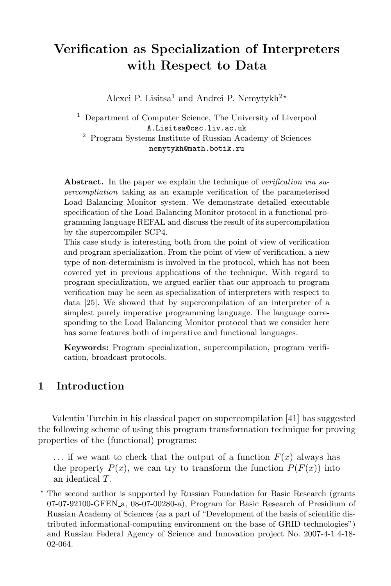# Verification as Specialization of Interpreters with Respect to Data

Alexei P. Lisitsa<sup>1</sup> and Andrei P. Nemytykh<sup>2\*</sup>

<sup>1</sup> Department of Computer Science, The University of Liverpool A.Lisitsa@csc.liv.ac.uk <sup>2</sup> Program Systems Institute of Russian Academy of Sciences nemytykh@math.botik.ru

Abstract. In the paper we explain the technique of *verification via su*percompliation taking as an example verification of the parameterised Load Balancing Monitor system. We demonstrate detailed executable specification of the Load Balancing Monitor protocol in a functional programming language REFAL and discuss the result of its supercompilation by the supercompiler SCP4.

This case study is interesting both from the point of view of verification and program specialization. From the point of view of verification, a new type of non-determinism is involved in the protocol, which has not been covered yet in previous applications of the technique. With regard to program specialization, we argued earlier that our approach to program verification may be seen as specialization of interpreters with respect to data [25]. We showed that by supercompilation of an interpreter of a simplest purely imperative programming language. The language corresponding to the Load Balancing Monitor protocol that we consider here has some features both of imperative and functional languages.

Keywords: Program specialization, supercompilation, program verification, broadcast protocols.

## 1 Introduction

Valentin Turchin in his classical paper on supercompilation [41] has suggested the following scheme of using this program transformation technique for proving properties of the (functional) programs:

 $\ldots$  if we want to check that the output of a function  $F(x)$  always has the property  $P(x)$ , we can try to transform the function  $P(F(x))$  into an identical T.

<sup>?</sup> The second author is supported by Russian Foundation for Basic Research (grants 07-07-92100-GFEN a, 08-07-00280-a), Program for Basic Research of Presidium of Russian Academy of Sciences (as a part of "Development of the basis of scientific distributed informational-computing environment on the base of GRID technologies") and Russian Federal Agency of Science and Innovation project No. 2007-4-1.4-18- 02-064.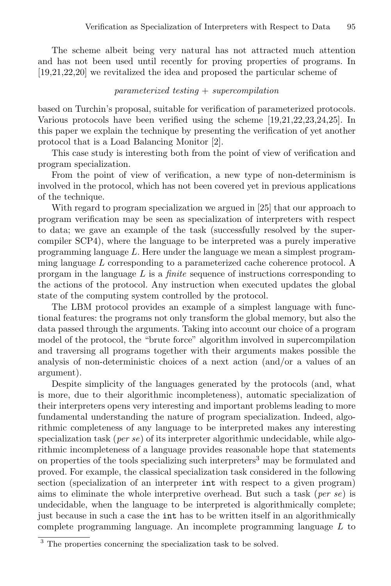The scheme albeit being very natural has not attracted much attention and has not been used until recently for proving properties of programs. In [19,21,22,20] we revitalized the idea and proposed the particular scheme of

#### $parameterized\ testing + supercompilation$

based on Turchin's proposal, suitable for verification of parameterized protocols. Various protocols have been verified using the scheme [19,21,22,23,24,25]. In this paper we explain the technique by presenting the verification of yet another protocol that is a Load Balancing Monitor [2].

This case study is interesting both from the point of view of verification and program specialization.

From the point of view of verification, a new type of non-determinism is involved in the protocol, which has not been covered yet in previous applications of the technique.

With regard to program specialization we argued in [25] that our approach to program verification may be seen as specialization of interpreters with respect to data; we gave an example of the task (successfully resolved by the supercompiler SCP4), where the language to be interpreted was a purely imperative programming language  $L$ . Here under the language we mean a simplest programming language L corresponding to a parameterized cache coherence protocol. A prorgam in the language  $L$  is a *finite* sequence of instructions corresponding to the actions of the protocol. Any instruction when executed updates the global state of the computing system controlled by the protocol.

The LBM protocol provides an example of a simplest language with functional features: the programs not only transform the global memory, but also the data passed through the arguments. Taking into account our choice of a program model of the protocol, the "brute force" algorithm involved in supercompilation and traversing all programs together with their arguments makes possible the analysis of non-deterministic choices of a next action (and/or a values of an argument).

Despite simplicity of the languages generated by the protocols (and, what is more, due to their algorithmic incompleteness), automatic specialization of their interpreters opens very interesting and important problems leading to more fundamental understanding the nature of program specialization. Indeed, algorithmic completeness of any language to be interpreted makes any interesting specialization task (*per se*) of its interpreter algorithmic undecidable, while algorithmic incompleteness of a language provides reasonable hope that statements on properties of the tools specializing such interpreters<sup>3</sup> may be formulated and proved. For example, the classical specialization task considered in the following section (specialization of an interpreter int with respect to a given program) aims to eliminate the whole interpretive overhead. But such a task (per se) is undecidable, when the language to be interpreted is algorithmically complete; just because in such a case the int has to be written itself in an algorithmically complete programming language. An incomplete programming language L to

<sup>3</sup> The properties concerning the specialization task to be solved.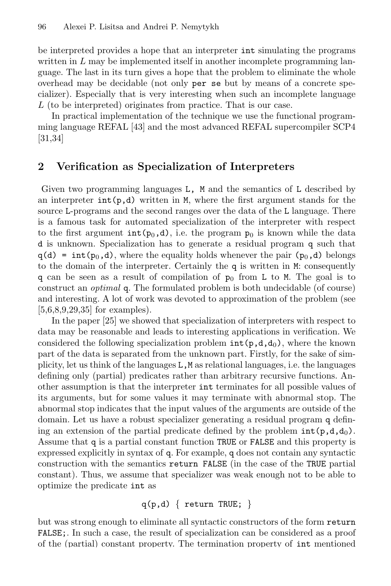be interpreted provides a hope that an interpreter int simulating the programs written in  $L$  may be implemented itself in another incomplete programming language. The last in its turn gives a hope that the problem to eliminate the whole overhead may be decidable (not only per se but by means of a concrete specializer). Especially that is very interesting when such an incomplete language  $L$  (to be interpreted) originates from practice. That is our case.

In practical implementation of the technique we use the functional programming language REFAL [43] and the most advanced REFAL supercompiler SCP4 [31,34]

## 2 Verification as Specialization of Interpreters

Given two programming languages L, M and the semantics of L described by an interpreter  $int(p,d)$  written in M, where the first argument stands for the source L-programs and the second ranges over the data of the L language. There is a famous task for automated specialization of the interpreter with respect to the first argument  $\text{int}(p_0, d)$ , i.e. the program  $p_0$  is known while the data d is unknown. Specialization has to generate a residual program q such that  $q(d) = int(p_0, d)$ , where the equality holds whenever the pair  $(p_0, d)$  belongs to the domain of the interpreter. Certainly the q is written in M: consequently q can be seen as a result of compilation of  $p_0$  from L to M. The goal is to construct an optimal q. The formulated problem is both undecidable (of course) and interesting. A lot of work was devoted to approximation of the problem (see [5,6,8,9,29,35] for examples).

In the paper [25] we showed that specialization of interpreters with respect to data may be reasonable and leads to interesting applications in verification. We considered the following specialization problem  $int(p,d,d_0)$ , where the known part of the data is separated from the unknown part. Firstly, for the sake of simplicity, let us think of the languages L,M as relational languages, i.e. the languages defining only (partial) predicates rather than arbitrary recursive functions. Another assumption is that the interpreter int terminates for all possible values of its arguments, but for some values it may terminate with abnormal stop. The abnormal stop indicates that the input values of the arguments are outside of the domain. Let us have a robust specializer generating a residual program q defining an extension of the partial predicate defined by the problem  $int(p,d,d_0)$ . Assume that q is a partial constant function TRUE or FALSE and this property is expressed explicitly in syntax of q. For example, q does not contain any syntactic construction with the semantics return FALSE (in the case of the TRUE partial constant). Thus, we assume that specializer was weak enough not to be able to optimize the predicate int as

$$
q(p,d) \{ return TRUE; \}
$$

but was strong enough to eliminate all syntactic constructors of the form return FALSE;. In such a case, the result of specialization can be considered as a proof of the (partial) constant property. The termination property of int mentioned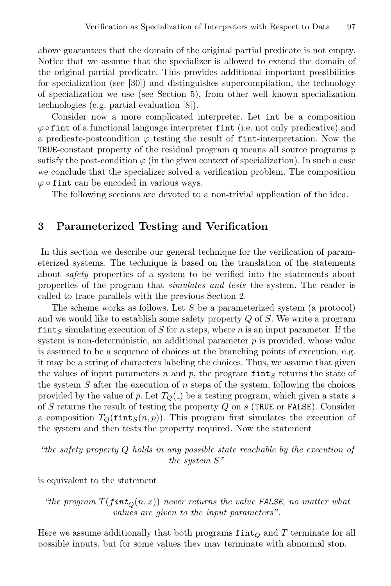above guarantees that the domain of the original partial predicate is not empty. Notice that we assume that the specializer is allowed to extend the domain of the original partial predicate. This provides additional important possibilities for specialization (see [30]) and distinguishes supercompilation, the technology of specialization we use (see Section 5), from other well known specialization technologies (e.g. partial evaluation [8]).

Consider now a more complicated interpreter. Let int be a composition  $\varphi$  of int of a functional language interpreter fint (i.e. not only predicative) and a predicate-postcondition  $\varphi$  testing the result of fint-interpretation. Now the TRUE-constant property of the residual program q means all source programs p satisfy the post-condition  $\varphi$  (in the given context of specialization). In such a case we conclude that the specializer solved a verification problem. The composition  $\varphi \circ \text{fint can be encoded in various ways.}$ 

The following sections are devoted to a non-trivial application of the idea.

#### 3 Parameterized Testing and Verification

In this section we describe our general technique for the verification of parameterized systems. The technique is based on the translation of the statements about safety properties of a system to be verified into the statements about properties of the program that *simulates and tests* the system. The reader is called to trace parallels with the previous Section 2.

The scheme works as follows. Let S be a parameterized system (a protocol) and we would like to establish some safety property  $Q$  of  $S$ . We write a program fints simulating execution of S for n steps, where n is an input parameter. If the system is non-deterministic, an additional parameter  $\bar{p}$  is provided, whose value is assumed to be a sequence of choices at the branching points of execution, e.g. it may be a string of characters labeling the choices. Thus, we assume that given the values of input parameters n and  $\bar{p}$ , the program fints returns the state of the system  $S$  after the execution of  $n$  steps of the system, following the choices provided by the value of  $\bar{p}$ . Let  $T_Q(.)$  be a testing program, which given a state s of S returns the result of testing the property  $Q$  on  $s$  (TRUE or FALSE). Consider a composition  $T_Q(\text{fint}_S(n, \bar{p}))$ . This program first simulates the execution of the system and then tests the property required. Now the statement

"the safety property Q holds in any possible state reachable by the execution of the system S"

is equivalent to the statement

"the program  $T(fint_{\Omega}(n, \bar{x}))$  never returns the value FALSE, no matter what values are given to the input parameters".

Here we assume additionally that both programs  $\text{fint}_Q$  and T terminate for all possible inputs, but for some values they may terminate with abnormal stop.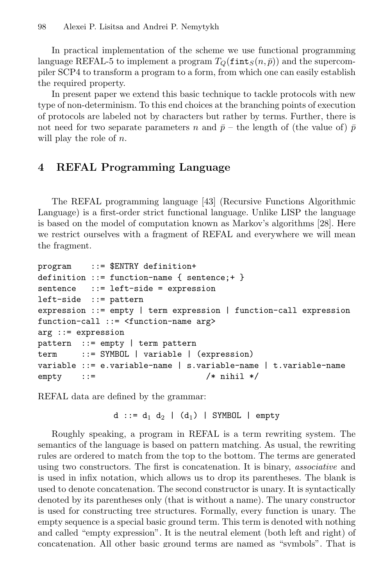In practical implementation of the scheme we use functional programming language REFAL-5 to implement a program  $T_O(\text{fint}_S(n, \bar{p}))$  and the supercompiler SCP4 to transform a program to a form, from which one can easily establish the required property.

In present paper we extend this basic technique to tackle protocols with new type of non-determinism. To this end choices at the branching points of execution of protocols are labeled not by characters but rather by terms. Further, there is not need for two separate parameters n and  $\bar{p}$  – the length of (the value of)  $\bar{p}$ will play the role of  $n$ .

# 4 REFAL Programming Language

The REFAL programming language [43] (Recursive Functions Algorithmic Language) is a first-order strict functional language. Unlike LISP the language is based on the model of computation known as Markov's algorithms [28]. Here we restrict ourselves with a fragment of REFAL and everywhere we will mean the fragment.

```
program ::= $ENTRY definition+
definition ::= function-name { sentence;+ }
sentence ::= left-side = expression
left-side ::= pattern
expression ::= empty | term expression | function-call expression
function-call ::= <function-name arg>
arg ::= expression
pattern ::= empty | term pattern
term ::= SYMBOL | variable | (expression)
variable ::= e.variable-name | s.variable-name | t.variable-name
empty ::= /* nihil */
```
REFAL data are defined by the grammar:

```
d ::= d_1 d_2 | (d_1) | SYMBOL | empty
```
Roughly speaking, a program in REFAL is a term rewriting system. The semantics of the language is based on pattern matching. As usual, the rewriting rules are ordered to match from the top to the bottom. The terms are generated using two constructors. The first is concatenation. It is binary, associative and is used in infix notation, which allows us to drop its parentheses. The blank is used to denote concatenation. The second constructor is unary. It is syntactically denoted by its parentheses only (that is without a name). The unary constructor is used for constructing tree structures. Formally, every function is unary. The empty sequence is a special basic ground term. This term is denoted with nothing and called "empty expression". It is the neutral element (both left and right) of concatenation. All other basic ground terms are named as "symbols". That is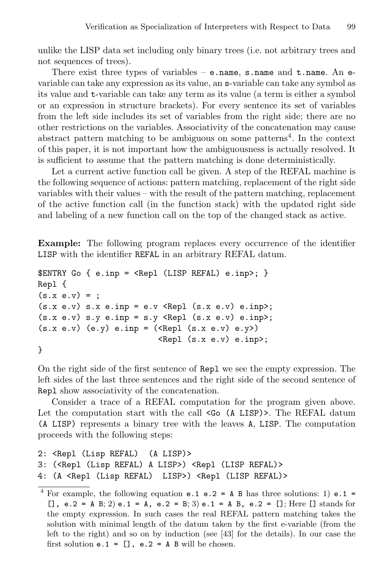unlike the LISP data set including only binary trees (i.e. not arbitrary trees and not sequences of trees).

There exist three types of variables – e.name, s.name and t.name. An evariable can take any expression as its value, an s-variable can take any symbol as its value and t-variable can take any term as its value (a term is either a symbol or an expression in structure brackets). For every sentence its set of variables from the left side includes its set of variables from the right side; there are no other restrictions on the variables. Associativity of the concatenation may cause abstract pattern matching to be ambiguous on some patterns<sup>4</sup>. In the context of this paper, it is not important how the ambiguousness is actually resolved. It is sufficient to assume that the pattern matching is done deterministically.

Let a current active function call be given. A step of the REFAL machine is the following sequence of actions: pattern matching, replacement of the right side variables with their values – with the result of the pattern matching, replacement of the active function call (in the function stack) with the updated right side and labeling of a new function call on the top of the changed stack as active.

Example: The following program replaces every occurrence of the identifier LISP with the identifier REFAL in an arbitrary REFAL datum.

```
E NTRY G \{ e.inp = <Rep1 (LISP REFAL) e.inp >; \}Repl {
(s.x e.v) = ;(s.x e.v) s.x e.inp = e.v < Repl (s.x e.v) e.inp);(s.x e.v) s.y e.inp = s.y < Repl (s.x e.v) e.inp>;(s.x e.y) (e.y) e.inp = (XRepl (s.x e.y) e.y)\langle \text{Repl (s.x e.v) e.inp} \rangle;
```
}

On the right side of the first sentence of Repl we see the empty expression. The left sides of the last three sentences and the right side of the second sentence of Repl show associativity of the concatenation.

Consider a trace of a REFAL computation for the program given above. Let the computation start with the call  $\leq$  (A LISP)>. The REFAL datum (A LISP) represents a binary tree with the leaves A, LISP. The computation proceeds with the following steps:

```
2: <Repl (Lisp REFAL) (A LISP)>
3: (<Repl (Lisp REFAL) A LISP>) <Repl (LISP REFAL)>
4: (A <Repl (Lisp REFAL) LISP>) <Repl (LISP REFAL)>
```
<sup>&</sup>lt;sup>4</sup> For example, the following equation **e.1 e.2 = A B** has three solutions: 1) **e.1** = [], e.2 = A B; 2) e.1 = A, e.2 = B; 3) e.1 = A B, e.2 = []; Here [] stands for the empty expression. In such cases the real REFAL pattern matching takes the solution with minimal length of the datum taken by the first e-variable (from the left to the right) and so on by induction (see [43] for the details). In our case the first solution  $e.1 = []$ ,  $e.2 = A B$  will be chosen.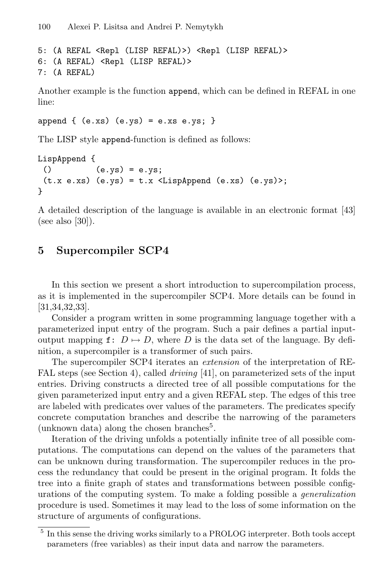```
5: (A REFAL <Repl (LISP REFAL)>) <Repl (LISP REFAL)>
6: (A REFAL) <Repl (LISP REFAL)>
7: (A REFAL)
```
Another example is the function append, which can be defined in REFAL in one line:

```
append \{ (e.xs) (e.ys) = e.xs e.ys; \}
```
The LISP style append-function is defined as follows:

```
LispAppend {
 () (e.ys) = e.ys;(t.x e.xs) (e.ys) = t.x <LispAppend (e.xs) (e.ys) ;
}
```
A detailed description of the language is available in an electronic format [43] (see also [30]).

## 5 Supercompiler SCP4

In this section we present a short introduction to supercompilation process, as it is implemented in the supercompiler SCP4. More details can be found in [31,34,32,33].

Consider a program written in some programming language together with a parameterized input entry of the program. Such a pair defines a partial inputoutput mapping f:  $D \mapsto D$ , where D is the data set of the language. By definition, a supercompiler is a transformer of such pairs.

The supercompiler SCP4 iterates an extension of the interpretation of RE-FAL steps (see Section 4), called *driving* [41], on parameterized sets of the input entries. Driving constructs a directed tree of all possible computations for the given parameterized input entry and a given REFAL step. The edges of this tree are labeled with predicates over values of the parameters. The predicates specify concrete computation branches and describe the narrowing of the parameters (unknown data) along the chosen branches<sup>5</sup>.

Iteration of the driving unfolds a potentially infinite tree of all possible computations. The computations can depend on the values of the parameters that can be unknown during transformation. The supercompiler reduces in the process the redundancy that could be present in the original program. It folds the tree into a finite graph of states and transformations between possible configurations of the computing system. To make a folding possible a generalization procedure is used. Sometimes it may lead to the loss of some information on the structure of arguments of configurations.

<sup>&</sup>lt;sup>5</sup> In this sense the driving works similarly to a PROLOG interpreter. Both tools accept parameters (free variables) as their input data and narrow the parameters.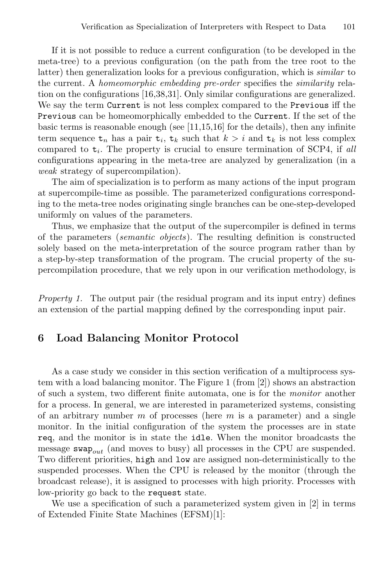If it is not possible to reduce a current configuration (to be developed in the meta-tree) to a previous configuration (on the path from the tree root to the latter) then generalization looks for a previous configuration, which is similar to the current. A homeomorphic embedding pre-order specifies the similarity relation on the configurations [16,38,31]. Only similar configurations are generalized. We say the term Current is not less complex compared to the Previous iff the Previous can be homeomorphically embedded to the Current. If the set of the basic terms is reasonable enough (see  $[11,15,16]$  for the details), then any infinite term sequence  $t_n$  has a pair  $t_i$ ,  $t_k$  such that  $k > i$  and  $t_k$  is not less complex compared to  $t_i$ . The property is crucial to ensure termination of SCP4, if all configurations appearing in the meta-tree are analyzed by generalization (in a weak strategy of supercompilation).

The aim of specialization is to perform as many actions of the input program at supercompile-time as possible. The parameterized configurations corresponding to the meta-tree nodes originating single branches can be one-step-developed uniformly on values of the parameters.

Thus, we emphasize that the output of the supercompiler is defined in terms of the parameters (semantic objects). The resulting definition is constructed solely based on the meta-interpretation of the source program rather than by a step-by-step transformation of the program. The crucial property of the supercompilation procedure, that we rely upon in our verification methodology, is

Property 1. The output pair (the residual program and its input entry) defines an extension of the partial mapping defined by the corresponding input pair.

#### 6 Load Balancing Monitor Protocol

As a case study we consider in this section verification of a multiprocess system with a load balancing monitor. The Figure 1 (from [2]) shows an abstraction of such a system, two different finite automata, one is for the monitor another for a process. In general, we are interested in parameterized systems, consisting of an arbitrary number  $m$  of processes (here  $m$  is a parameter) and a single monitor. In the initial configuration of the system the processes are in state req, and the monitor is in state the idle. When the monitor broadcasts the message swap<sub>out</sub> (and moves to busy) all processes in the CPU are suspended. Two different priorities, high and low are assigned non-deterministically to the suspended processes. When the CPU is released by the monitor (through the broadcast release), it is assigned to processes with high priority. Processes with low-priority go back to the request state.

We use a specification of such a parameterized system given in [2] in terms of Extended Finite State Machines (EFSM)[1]: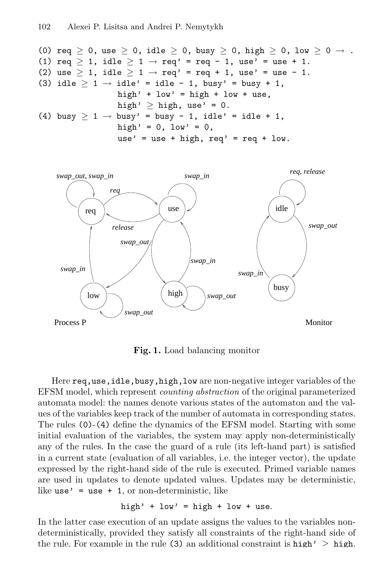\n- (0) 
$$
req \geq 0
$$
, use  $\geq 0$ , idle  $\geq 0$ , busy  $\geq 0$ , high  $\geq 0$ , low  $\geq 0 \rightarrow$ .
\n- (1)  $req \geq 1$ , idle  $\geq 1 \rightarrow req'$  =  $req - 1$ , use' = use + 1.
\n- (2) use  $\geq 1$ , idle  $\geq 1 \rightarrow req'$  =  $req + 1$ , use' = use - 1.
\n- (3) idle  $\geq 1 \rightarrow idle'$  = idle - 1, busy' = busy + 1, high' + low' = high + low + use, high'  $\geq$  high, use' = 0.
\n- (4) busy  $\geq 1 \rightarrow$  busy' = busy - 1, idle' = idle + 1, high' = 0, low' = 0, use' = use + high, req' = req + low.
\n



Fig. 1. Load balancing monitor

Here req,use,idle,busy,high,low are non-negative integer variables of the EFSM model, which represent counting abstraction of the original parameterized automata model: the names denote various states of the automaton and the values of the variables keep track of the number of automata in corresponding states. The rules (0)-(4) define the dynamics of the EFSM model. Starting with some initial evaluation of the variables, the system may apply non-deterministically any of the rules. In the case the guard of a rule (its left-hand part) is satisfied in a current state (evaluation of all variables, i.e. the integer vector), the update expressed by the right-hand side of the rule is executed. Primed variable names are used in updates to denote updated values. Updates may be deterministic, like use  $\prime$  = use + 1, or non-deterministic, like

high' + low' = high + low + use.

In the latter case execution of an update assigns the values to the variables nondeterministically, provided they satisfy all constraints of the right-hand side of the rule. For example in the rule (3) an additional constraint is high'  $\geq$  high.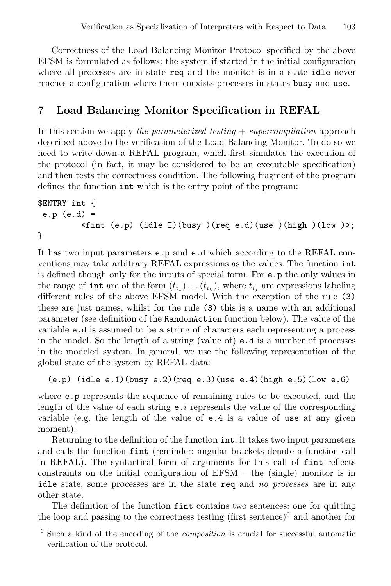Correctness of the Load Balancing Monitor Protocol specified by the above EFSM is formulated as follows: the system if started in the initial configuration where all processes are in state req and the monitor is in a state idle never reaches a configuration where there coexists processes in states busy and use.

## 7 Load Balancing Monitor Specification in REFAL

In this section we apply the parameterized testing  $+$  supercompilation approach described above to the verification of the Load Balancing Monitor. To do so we need to write down a REFAL program, which first simulates the execution of the protocol (in fact, it may be considered to be an executable specification) and then tests the correctness condition. The following fragment of the program defines the function int which is the entry point of the program:

```
$ENTRY int {
 e.p (e.d) =
         \n  <fint (e.p) (idle I)(busy )(req e.d)(use )(high )(low )>;
}
```
It has two input parameters e.p and e.d which according to the REFAL conventions may take arbitrary REFAL expressions as the values. The function int is defined though only for the inputs of special form. For e.p the only values in the range of int are of the form  $(t_{i_1}) \dots (t_{i_k})$ , where  $t_{i_j}$  are expressions labeling different rules of the above EFSM model. With the exception of the rule (3) these are just names, whilst for the rule (3) this is a name with an additional parameter (see definition of the RandomAction function below). The value of the variable e.d is assumed to be a string of characters each representing a process in the model. So the length of a string (value of)  $e.d$  is a number of processes in the modeled system. In general, we use the following representation of the global state of the system by REFAL data:

```
(e.p) (idle e.1)(busy e.2)(req e.3)(use e.4)(high e.5)(low e.6)
```
where e.p represents the sequence of remaining rules to be executed, and the length of the value of each string  $e \cdot i$  represents the value of the corresponding variable (e.g. the length of the value of  $e.4$  is a value of use at any given moment).

Returning to the definition of the function int, it takes two input parameters and calls the function fint (reminder: angular brackets denote a function call in REFAL). The syntactical form of arguments for this call of fint reflects constraints on the initial configuration of EFSM – the (single) monitor is in idle state, some processes are in the state req and no processes are in any other state.

The definition of the function fint contains two sentences: one for quitting the loop and passing to the correctness testing (first sentence)<sup>6</sup> and another for

<sup>6</sup> Such a kind of the encoding of the composition is crucial for successful automatic verification of the protocol.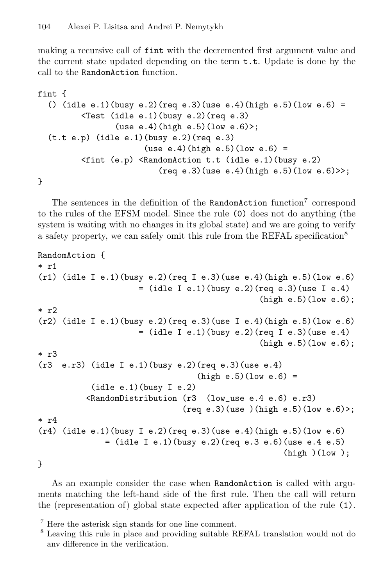making a recursive call of fint with the decremented first argument value and the current state updated depending on the term t.t. Update is done by the call to the RandomAction function.

```
fint {
  () (idle e.1)(busy e.2)(req e.3)(use e.4)(high e.5)(low e.6) =
           <Test (idle e.1)(busy e.2)(req e.3)
                   (use e.4)(high e.5)(low e.6)>;
  (t.t e.p) (idle e.1)(busy e.2)(req e.3)
                          (use e.4)(high e.5)(low e.6) =\text{1} (e.p) \text{1} (RandomAction t.t (idle e.1)(busy e.2)
                              (\text{req } e.3)(\text{use } e.4)(\text{high } e.5)(\text{low } e.6) \rightarrow;
```

```
}
```
The sentences in the definition of the RandomAction function<sup>7</sup> correspond to the rules of the EFSM model. Since the rule (0) does not do anything (the system is waiting with no changes in its global state) and we are going to verify a safety property, we can safely omit this rule from the REFAL specification<sup>8</sup>

```
RandomAction {
* r1
(r1) (idle I e.1)(busy e.2)(req I e.3)(use e.4)(high e.5)(low e.6)
                      = (idle I e.1)(busy e.2)(req e.3)(use I e.4)
                                                 (high e.5)(low e.6);
* r2
(r2) (idle I e.1)(busy e.2)(req e.3)(use I e.4)(high e.5)(low e.6)
                      = (idle I e.1)(busy e.2)(req I e.3)(use e.4)
                                                 (high e.5)(low e.6);
* r3
(r3 e.r3) (idle I e.1)(busy e.2)(req e.3)(use e.4)
                                   (high e.5)(low e.6) =(idle e.1)(busy I e.2)
          <RandomDistribution (r3 (low_use e.4 e.6) e.r3)
                                (\text{req } e.3)(\text{use })(\text{high } e.5)(\text{low } e.6)* r4
(r4) (idle e.1)(busy I e.2)(req e.3)(use e.4)(high e.5)(low e.6)
              = (idle I e.1)(busy e.2)(req e.3 e.6)(use e.4 e.5)
                                                      (high)(low);
```
}

As an example consider the case when RandomAction is called with arguments matching the left-hand side of the first rule. Then the call will return the (representation of) global state expected after application of the rule (1).

<sup>7</sup> Here the asterisk sign stands for one line comment.

<sup>8</sup> Leaving this rule in place and providing suitable REFAL translation would not do any difference in the verification.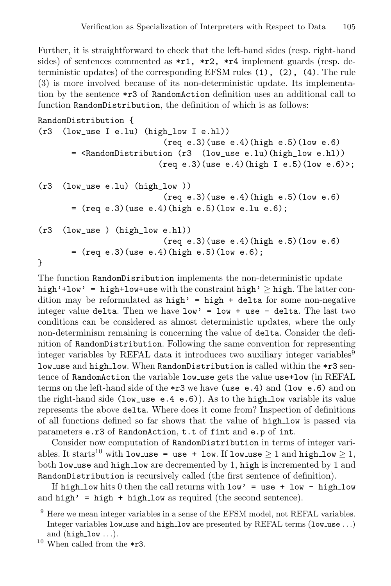Further, it is straightforward to check that the left-hand sides (resp. right-hand sides) of sentences commented as  $\star$ r1,  $\star$ r2,  $\star$ r4 implement guards (resp. deterministic updates) of the corresponding EFSM rules (1), (2), (4). The rule (3) is more involved because of its non-deterministic update. Its implementation by the sentence \*r3 of RandomAction definition uses an additional call to function RandomDistribution, the definition of which is as follows:

```
RandomDistribution {
(r3 (low_use I e.lu) (high_low I e.hl))
                              (req e.3)(use e.4)(high e.5)(low e.6)
        = <RandomDistribution (r3 (low_use e.lu)(high_low e.hl))
                             (\text{req } e.3)(\text{use } e.4)(\text{high } I e.5)(\text{low } e.6)(r3 (low use e.lu) (high low ))
                              (\text{req } e.3)(\text{use } e.4)(\text{high } e.5)(\text{low } e.6)= (req e.3)(use e.4)(high e.5)(low e.lu e.6);
(r3 (low_use ) (high_low e.hl))
                              (req e.3)(use e.4)(high e.5)(low e.6)
        = (req e.3)(use e.4)(high e.5)(low e.6);
}
```
The function RandomDisribution implements the non-deterministic update high'+low' = high+low+use with the constraint high'  $\geq$  high. The latter condition may be reformulated as  $high' = high + delta$  for some non-negative integer value delta. Then we have  $low' = low + use - delta$ . The last two conditions can be considered as almost deterministic updates, where the only non-determinism remaining is concerning the value of delta. Consider the definition of RandomDistribution. Following the same convention for representing integer variables by REFAL data it introduces two auxiliary integer variables<sup>9</sup> low use and high low. When RandomDistribution is called within the \*r3 sentence of RandomAction the variable low use gets the value use+low (in REFAL terms on the left-hand side of the \*r3 we have (use e.4) and (low e.6) and on the right-hand side (low\_use  $e.4$   $e.6$ )). As to the high\_low variable its value represents the above delta. Where does it come from? Inspection of definitions of all functions defined so far shows that the value of high low is passed via parameters e.r3 of RandomAction, t.t of fint and e.p of int.

Consider now computation of RandomDistribution in terms of integer variables. It starts<sup>10</sup> with low use = use + low. If low use  $\geq 1$  and high low  $\geq 1$ , both low use and high low are decremented by 1, high is incremented by 1 and RandomDistribution is recursively called (the first sentence of definition).

If high low hits 0 then the call returns with  $low' = use + low - high\_low$ and high' = high + high low as required (the second sentence).

 $10$  When called from the \*r3.

<sup>&</sup>lt;sup>9</sup> Here we mean integer variables in a sense of the EFSM model, not REFAL variables. Integer variables low use and high low are presented by REFAL terms (low use ...) and  $(high_low...).$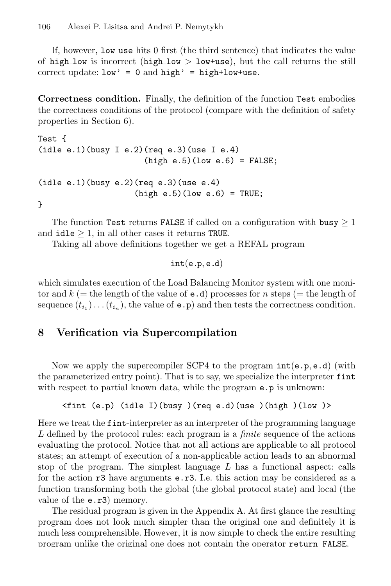If, however, low use hits 0 first (the third sentence) that indicates the value of high low is incorrect (high low  $>$  low+use), but the call returns the still correct update:  $low' = 0$  and  $high' = high+low+use$ .

Correctness condition. Finally, the definition of the function Test embodies the correctness conditions of the protocol (compare with the definition of safety properties in Section 6).

```
Test {
(idle e.1)(busy I e.2)(req e.3)(use I e.4)(high e.5)(low e.6) = FALSE;(idle e.1)(busy e.2)(req e.3)(use e.4)(high e.5)(low e.6) = TRUE;}
```
The function Test returns FALSE if called on a configuration with busy  $\geq 1$ and  $idle$   $>$  1, in all other cases it returns TRUE.

Taking all above definitions together we get a REFAL program

 $int(e.p, e.d)$ 

which simulates execution of the Load Balancing Monitor system with one monitor and  $k (=$  the length of the value of  $e.d$ ) processes for n steps  $(=$  the length of sequence  $(t_{i_1}) \dots (t_{i_n})$ , the value of **e**  $\cdot$ **p**) and then tests the correctness condition.

## 8 Verification via Supercompilation

Now we apply the supercompiler SCP4 to the program  $\text{int}(e, p, e, d)$  (with the parameterized entry point). That is to say, we specialize the interpreter fint with respect to partial known data, while the program  $e.p$  is unknown:

```
<fint (e.p) (idle I)(busy )(req e.d)(use )(high )(low )>
```
Here we treat the fint-interpreter as an interpreter of the programming language L defined by the protocol rules: each program is a *finite* sequence of the actions evaluating the protocol. Notice that not all actions are applicable to all protocol states; an attempt of execution of a non-applicable action leads to an abnormal stop of the program. The simplest language  $L$  has a functional aspect: calls for the action  $r3$  have arguments **e.r3.** I.e. this action may be considered as a function transforming both the global (the global protocol state) and local (the value of the e.r3) memory.

The residual program is given in the Appendix A. At first glance the resulting program does not look much simpler than the original one and definitely it is much less comprehensible. However, it is now simple to check the entire resulting program unlike the original one does not contain the operator return FALSE.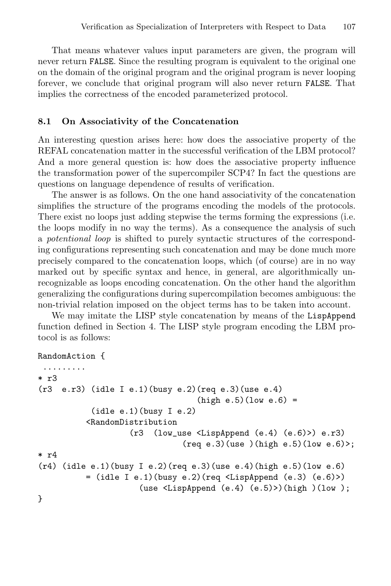That means whatever values input parameters are given, the program will never return FALSE. Since the resulting program is equivalent to the original one on the domain of the original program and the original program is never looping forever, we conclude that original program will also never return FALSE. That implies the correctness of the encoded parameterized protocol.

#### 8.1 On Associativity of the Concatenation

An interesting question arises here: how does the associative property of the REFAL concatenation matter in the successful verification of the LBM protocol? And a more general question is: how does the associative property influence the transformation power of the supercompiler SCP4? In fact the questions are questions on language dependence of results of verification.

The answer is as follows. On the one hand associativity of the concatenation simplifies the structure of the programs encoding the models of the protocols. There exist no loops just adding stepwise the terms forming the expressions (i.e. the loops modify in no way the terms). As a consequence the analysis of such a potentional loop is shifted to purely syntactic structures of the corresponding configurations representing such concatenation and may be done much more precisely compared to the concatenation loops, which (of course) are in no way marked out by specific syntax and hence, in general, are algorithmically unrecognizable as loops encoding concatenation. On the other hand the algorithm generalizing the configurations during supercompilation becomes ambiguous: the non-trivial relation imposed on the object terms has to be taken into account.

We may imitate the LISP style concatenation by means of the LispAppend function defined in Section 4. The LISP style program encoding the LBM protocol is as follows:

```
RandomAction {
```

```
.........
* r3
(r3 e.r3) (idle I e.1)(busy e.2)(req e.3)(use e.4)
                                    (high e.5)(low e.6) =(idle e.1)(busy I e.2)
           <RandomDistribution
                     (r3 (low_use <LispAppend (e.4) (e.6)>) e.r3)
                                 (\text{req } e.3)(\text{use })(\text{high } e.5)(\text{low } e.6)* r4
(r4) (idle e.1)(busy I e.2)(req e.3)(use e.4)(high e.5)(low e.6)
          = (idle I e.1)(busy e.2)(req <LispAppend (e.3) (e.6)>)
                       (use <LispAppend (e.4) (e.5)>)(high )(low );
}
```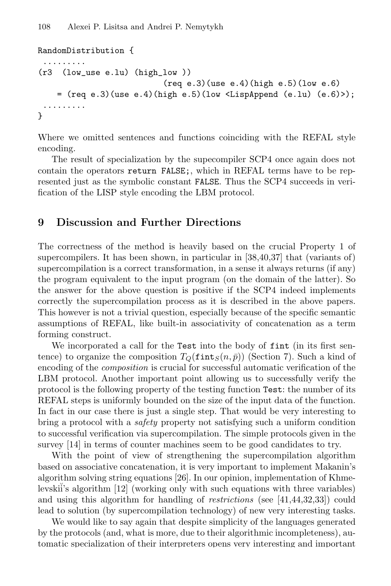```
RandomDistribution {
 .........
(r3 (low_use e.lu) (high_low ))
                                (\text{req } e.3)(\text{use } e.4)(\text{high } e.5)(\text{low } e.6)= (req e.3)(use e.4)(high e.5)(low \langleLispAppend (e.1u) (e.6)>);
 .........
}
```
Where we omitted sentences and functions coinciding with the REFAL style encoding.

The result of specialization by the supecompiler SCP4 once again does not contain the operators return FALSE;, which in REFAL terms have to be represented just as the symbolic constant FALSE. Thus the SCP4 succeeds in verification of the LISP style encoding the LBM protocol.

## 9 Discussion and Further Directions

The correctness of the method is heavily based on the crucial Property 1 of supercompilers. It has been shown, in particular in [38,40,37] that (variants of) supercompilation is a correct transformation, in a sense it always returns (if any) the program equivalent to the input program (on the domain of the latter). So the answer for the above question is positive if the SCP4 indeed implements correctly the supercompilation process as it is described in the above papers. This however is not a trivial question, especially because of the specific semantic assumptions of REFAL, like built-in associativity of concatenation as a term forming construct.

We incorporated a call for the Test into the body of fint (in its first sentence) to organize the composition  $T_Q(\text{fint}_S(n, \bar{p}))$  (Section 7). Such a kind of encoding of the composition is crucial for successful automatic verification of the LBM protocol. Another important point allowing us to successfully verify the protocol is the following property of the testing function Test: the number of its REFAL steps is uniformly bounded on the size of the input data of the function. In fact in our case there is just a single step. That would be very interesting to bring a protocol with a safety property not satisfying such a uniform condition to successful verification via supercompilation. The simple protocols given in the survey [14] in terms of counter machines seem to be good candidates to try.

With the point of view of strengthening the supercompilation algorithm based on associative concatenation, it is very important to implement Makanin's algorithm solving string equations [26]. In our opinion, implementation of Khmelevski<sup>\*</sup>'s algorithm [12] (working only with such equations with three variables) and using this algorithm for handling of restrictions (see [41,44,32,33]) could lead to solution (by supercompilation technology) of new very interesting tasks.

We would like to say again that despite simplicity of the languages generated by the protocols (and, what is more, due to their algorithmic incompleteness), automatic specialization of their interpreters opens very interesting and important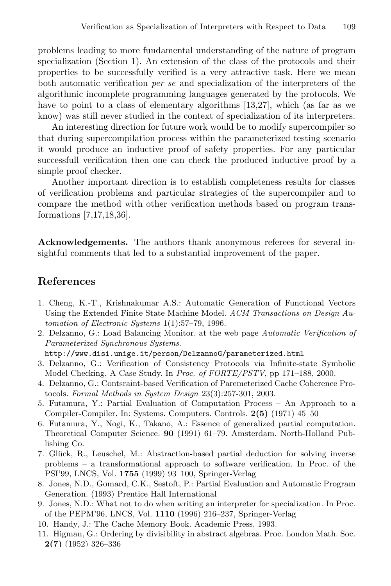problems leading to more fundamental understanding of the nature of program specialization (Section 1). An extension of the class of the protocols and their properties to be successfully verified is a very attractive task. Here we mean both automatic verification per se and specialization of the interpreters of the algorithmic incomplete programming languages generated by the protocols. We have to point to a class of elementary algorithms [13,27], which (as far as we know) was still never studied in the context of specialization of its interpreters.

An interesting direction for future work would be to modify supercompiler so that during supercompilation process within the parameterized testing scenario it would produce an inductive proof of safety properties. For any particular successfull verification then one can check the produced inductive proof by a simple proof checker.

Another important direction is to establish completeness results for classes of verification problems and particular strategies of the supercompiler and to compare the method with other verification methods based on program transformations [7,17,18,36].

Acknowledgements. The authors thank anonymous referees for several insightful comments that led to a substantial improvement of the paper.

#### References

- 1. Cheng, K.-T., Krishnakumar A.S.: Automatic Generation of Functional Vectors Using the Extended Finite State Machine Model. ACM Transactions on Design Automation of Electronic Systems 1(1):57–79, 1996.
- 2. Delzanno, G.: Load Balancing Monitor, at the web page Automatic Verification of Parameterized Synchronous Systems.

http://www.disi.unige.it/person/DelzannoG/parameterized.html

- 3. Delzanno, G.: Verification of Consistency Protocols via Infinite-state Symbolic Model Checking, A Case Study. In Proc. of FORTE/PSTV, pp 171–188, 2000.
- 4. Delzanno, G.: Contsraint-based Verification of Paremeterized Cache Coherence Protocols. Formal Methods in System Design 23(3):257-301, 2003.
- 5. Futamura, Y.: Partial Evaluation of Computation Process An Approach to a Compiler-Compiler. In: Systems. Computers. Controls. 2(5) (1971) 45–50
- 6. Futamura, Y., Nogi, K., Takano, A.: Essence of generalized partial computation. Theoretical Computer Science. 90 (1991) 61–79. Amsterdam. North-Holland Publishing Co.
- 7. Glück, R., Leuschel, M.: Abstraction-based partial deduction for solving inverse problems – a transformational approach to software verification. In Proc. of the PSI'99, LNCS, Vol. 1755 (1999) 93–100, Springer-Verlag
- 8. Jones, N.D., Gomard, C.K., Sestoft, P.: Partial Evaluation and Automatic Program Generation. (1993) Prentice Hall International
- 9. Jones, N.D.: What not to do when writing an interpreter for specialization. In Proc. of the PEPM'96, LNCS, Vol. 1110 (1996) 216–237, Springer-Verlag
- 10. Handy, J.: The Cache Memory Book. Academic Press, 1993.
- 11. Higman, G.: Ordering by divisibility in abstract algebras. Proc. London Math. Soc. 2(7) (1952) 326–336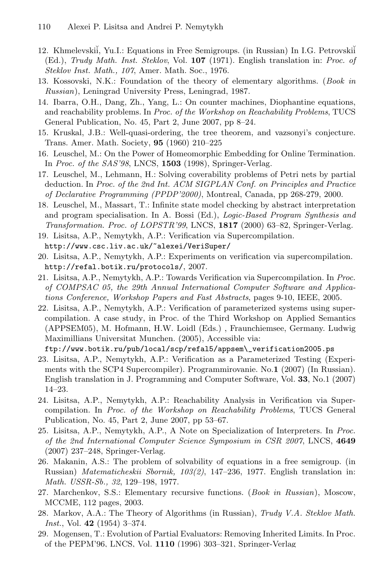- 12. Khmelevskiı̆, Yu.I.: Equations in Free Semigroups. (in Russian) In I.G. Petrovskiĭ (Ed.), Trudy Math. Inst. Steklov, Vol. 107 (1971). English translation in: Proc. of Steklov Inst. Math., 107, Amer. Math. Soc., 1976.
- 13. Kossovski, N.K.: Foundation of the theory of elementary algorithms. (Book in Russian), Leningrad University Press, Leningrad, 1987.
- 14. Ibarra, O.H., Dang, Zh., Yang, L.: On counter machines, Diophantine equations, and reachability problems. In Proc. of the Workshop on Reachability Problems, TUCS General Publication, No. 45, Part 2, June 2007, pp 8–24.
- 15. Kruskal, J.B.: Well-quasi-ordering, the tree theorem, and vazsonyi's conjecture. Trans. Amer. Math. Society, 95 (1960) 210–225
- 16. Leuschel, M.: On the Power of Homeomorphic Embedding for Online Termination. In Proc. of the SAS'98, LNCS, 1503 (1998), Springer-Verlag.
- 17. Leuschel, M., Lehmann, H.: Solving coverability problems of Petri nets by partial deduction. In Proc. of the 2nd Int. ACM SIGPLAN Conf. on Principles and Practice of Declarative Programming (PPDP'2000), Montreal, Canada, pp 268-279, 2000.
- 18. Leuschel, M., Massart, T.: Infinite state model checking by abstract interpretation and program specialisation. In A. Bossi (Ed.), Logic-Based Program Synthesis and Transformation. Proc. of LOPSTR'99, LNCS, 1817 (2000) 63–82, Springer-Verlag.
- 19. Lisitsa, A.P., Nemytykh, A.P.: Verification via Supercompilation. http://www.csc.liv.ac.uk/~alexei/VeriSuper/
- 20. Lisitsa, A.P., Nemytykh, A.P.: Experiments on verification via supercompilation. http://refal.botik.ru/protocols/, 2007.
- 21. Lisitsa, A.P., Nemytykh, A.P.: Towards Verification via Supercompilation. In Proc. of COMPSAC 05, the 29th Annual International Computer Software and Applications Conference, Workshop Papers and Fast Abstracts, pages 9-10, IEEE, 2005.
- 22. Lisitsa, A.P., Nemytykh, A.P.: Verification of parameterized systems using supercompilation. A case study, in Proc. of the Third Workshop on Applied Semantics (APPSEM05), M. Hofmann, H.W. Loidl (Eds.) , Fraunchiemsee, Germany. Ludwig Maximillians Universitat Munchen. (2005), Accessible via:

ftp://www.botik.ru/pub/local/scp/refal5/appsem\\_verification2005.ps

- 23. Lisitsa, A.P., Nemytykh, A.P.: Verification as a Parameterized Testing (Experiments with the SCP4 Supercompiler). Programmirovanie. No.1 (2007) (In Russian). English translation in J. Programming and Computer Software, Vol. 33, No.1 (2007) 14–23.
- 24. Lisitsa, A.P., Nemytykh, A.P.: Reachability Analysis in Verification via Supercompilation. In Proc. of the Workshop on Reachability Problems, TUCS General Publication, No. 45, Part 2, June 2007, pp 53–67.
- 25. Lisitsa, A.P., Nemytykh, A.P., A Note on Specialization of Interpreters. In Proc. of the 2nd International Computer Science Symposium in CSR 2007, LNCS, 4649 (2007) 237–248, Springer-Verlag.
- 26. Makanin, A.S.: The problem of solvability of equations in a free semigroup. (in Russian) Matematicheskii Sbornik, 103(2), 147–236, 1977. English translation in: Math. USSR-Sb., 32, 129–198, 1977.
- 27. Marchenkov, S.S.: Elementary recursive functions. (Book in Russian), Moscow, MCCME, 112 pages, 2003.
- 28. Markov, A.A.: The Theory of Algorithms (in Russian), Trudy V.A. Steklov Math.  $Inst., Vol. 42 (1954) 3-374.$
- 29. Mogensen, T.: Evolution of Partial Evaluators: Removing Inherited Limits. In Proc. of the PEPM'96, LNCS, Vol. 1110 (1996) 303–321, Springer-Verlag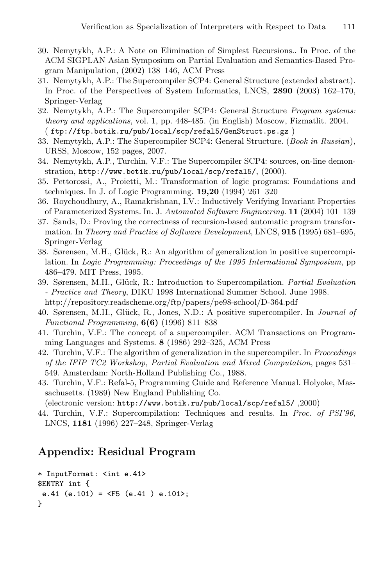- 30. Nemytykh, A.P.: A Note on Elimination of Simplest Recursions.. In Proc. of the ACM SIGPLAN Asian Symposium on Partial Evaluation and Semantics-Based Program Manipulation, (2002) 138–146, ACM Press
- 31. Nemytykh, A.P.: The Supercompiler SCP4: General Structure (extended abstract). In Proc. of the Perspectives of System Informatics, LNCS, 2890 (2003) 162–170, Springer-Verlag
- 32. Nemytykh, A.P.: The Supercompiler SCP4: General Structure Program systems: theory and applications, vol. 1, pp. 448-485. (in English) Moscow, Fizmatlit. 2004. ( ftp://ftp.botik.ru/pub/local/scp/refal5/GenStruct.ps.gz )
- 33. Nemytykh, A.P.: The Supercompiler SCP4: General Structure. (Book in Russian), URSS, Moscow, 152 pages, 2007.
- 34. Nemytykh, A.P., Turchin, V.F.: The Supercompiler SCP4: sources, on-line demonstration, http://www.botik.ru/pub/local/scp/refal5/, (2000).
- 35. Pettorossi, A., Proietti, M.: Transformation of logic programs: Foundations and techniques. In J. of Logic Programming. 19,20 (1994) 261–320
- 36. Roychoudhury, A., Ramakrishnan, I.V.: Inductively Verifying Invariant Properties of Parameterized Systems. In. J. Automated Software Engineering. 11 (2004) 101–139
- 37. Sands, D.: Proving the correctness of recursion-based automatic program transformation. In Theory and Practice of Software Development, LNCS, 915 (1995) 681–695, Springer-Verlag
- 38. Sørensen, M.H., Glück, R.: An algorithm of generalization in positive supercompilation. In Logic Programming: Proceedings of the 1995 International Symposium, pp 486–479. MIT Press, 1995.
- 39. Sørensen, M.H., Glück, R.: Introduction to Supercompilation. Partial Evaluation - Practice and Theory, DIKU 1998 International Summer School. June 1998. http://repository.readscheme.org/ftp/papers/pe98-school/D-364.pdf
- 40. Sørensen, M.H., Glück, R., Jones, N.D.: A positive supercompiler. In *Journal of* Functional Programming,  $6(6)$  (1996) 811–838
- 41. Turchin, V.F.: The concept of a supercompiler. ACM Transactions on Programming Languages and Systems. 8 (1986) 292–325, ACM Press
- 42. Turchin, V.F.: The algorithm of generalization in the supercompiler. In *Proceedings* of the IFIP TC2 Workshop, Partial Evaluation and Mixed Computation, pages 531– 549. Amsterdam: North-Holland Publishing Co., 1988.
- 43. Turchin, V.F.: Refal-5, Programming Guide and Reference Manual. Holyoke, Massachusetts. (1989) New England Publishing Co.

(electronic version: http://www.botik.ru/pub/local/scp/refal5/ ,2000)

44. Turchin, V.F.: Supercompilation: Techniques and results. In Proc. of PSI'96, LNCS, 1181 (1996) 227–248, Springer-Verlag

#### Appendix: Residual Program

```
* InputFormat: <int e.41>
$ENTRY int {
e.41 (e.101) = <F5 (e.41 ) e.101>;
}
```